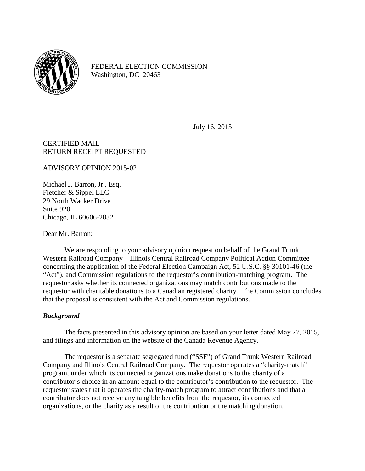

FEDERAL ELECTION COMMISSION Washington, DC 20463

July 16, 2015

## CERTIFIED MAIL RETURN RECEIPT REQUESTED

ADVISORY OPINION 2015-02

Michael J. Barron, Jr., Esq. Fletcher & Sippel LLC 29 North Wacker Drive Suite 920 Chicago, IL 60606-2832

Dear Mr. Barron:

We are responding to your advisory opinion request on behalf of the Grand Trunk Western Railroad Company – Illinois Central Railroad Company Political Action Committee concerning the application of the Federal Election Campaign Act, 52 U.S.C. §§ 30101-46 (the "Act"), and Commission regulations to the requestor's contribution-matching program. The requestor asks whether its connected organizations may match contributions made to the requestor with charitable donations to a Canadian registered charity. The Commission concludes that the proposal is consistent with the Act and Commission regulations.

## *Background*

The facts presented in this advisory opinion are based on your letter dated May 27, 2015, and filings and information on the website of the Canada Revenue Agency.

The requestor is a separate segregated fund ("SSF") of Grand Trunk Western Railroad Company and Illinois Central Railroad Company. The requestor operates a "charity-match" program, under which its connected organizations make donations to the charity of a contributor's choice in an amount equal to the contributor's contribution to the requestor. The requestor states that it operates the charity-match program to attract contributions and that a contributor does not receive any tangible benefits from the requestor, its connected organizations, or the charity as a result of the contribution or the matching donation.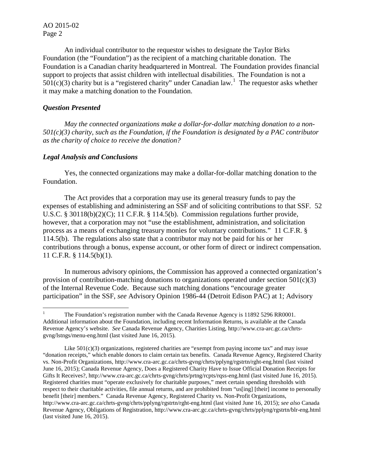AO 2015-02 Page 2

An individual contributor to the requestor wishes to designate the Taylor Birks Foundation (the "Foundation") as the recipient of a matching charitable donation. The Foundation is a Canadian charity headquartered in Montreal. The Foundation provides financial support to projects that assist children with intellectual disabilities. The Foundation is not a  $501(c)(3)$  $501(c)(3)$  $501(c)(3)$  charity but is a "registered charity" under Canadian law.<sup>1</sup> The requestor asks whether it may make a matching donation to the Foundation.

## *Question Presented*

*May the connected organizations make a dollar-for-dollar matching donation to a non-501(c)(3) charity, such as the Foundation, if the Foundation is designated by a PAC contributor as the charity of choice to receive the donation?*

## *Legal Analysis and Conclusions*

Yes, the connected organizations may make a dollar-for-dollar matching donation to the Foundation.

The Act provides that a corporation may use its general treasury funds to pay the expenses of establishing and administering an SSF and of soliciting contributions to that SSF. 52 U.S.C. § 30118(b)(2)(C); 11 C.F.R. § 114.5(b). Commission regulations further provide, however, that a corporation may not "use the establishment, administration, and solicitation process as a means of exchanging treasury monies for voluntary contributions." 11 C.F.R. § 114.5(b). The regulations also state that a contributor may not be paid for his or her contributions through a bonus, expense account, or other form of direct or indirect compensation. 11 C.F.R. § 114.5(b)(1).

In numerous advisory opinions, the Commission has approved a connected organization's provision of contribution-matching donations to organizations operated under section  $501(c)(3)$ of the Internal Revenue Code. Because such matching donations "encourage greater participation" in the SSF, *see* Advisory Opinion 1986-44 (Detroit Edison PAC) at 1; Advisory

<span id="page-1-0"></span><sup>&</sup>lt;sup>1</sup> The Foundation's registration number with the Canada Revenue Agency is 11892 5296 RR0001. Additional information about the Foundation, including recent Information Returns, is available at the Canada Revenue Agency's website. *See* Canada Revenue Agency, Charities Listing, http://www.cra-arc.gc.ca/chrtsgvng/lstngs/menu-eng.html (last visited June 16, 2015).

Like  $501(c)(3)$  organizations, registered charities are "exempt from paying income tax" and may issue "donation receipts," which enable donors to claim certain tax benefits. Canada Revenue Agency, Registered Charity vs. Non-Profit Organizations, http://www.cra-arc.gc.ca/chrts-gvng/chrts/pplyng/rgstrtn/rght-eng.html (last visited June 16, 2015); Canada Revenue Agency, Does a Registered Charity Have to Issue Official Donation Receipts for Gifts It Receives?, http://www.cra-arc.gc.ca/chrts-gvng/chrts/prtng/rcpts/rqss-eng.html (last visited June 16, 2015). Registered charities must "operate exclusively for charitable purposes," meet certain spending thresholds with respect to their charitable activities, file annual returns, and are prohibited from "us[ing] [their] income to personally benefit [their] members." Canada Revenue Agency, Registered Charity vs. Non-Profit Organizations, http://www.cra-arc.gc.ca/chrts-gvng/chrts/pplyng/rgstrtn/rght-eng.html (last visited June 16, 2015); *see also* Canada Revenue Agency, Obligations of Registration, http://www.cra-arc.gc.ca/chrts-gvng/chrts/pplyng/rgstrtn/blr-eng.html (last visited June 16, 2015).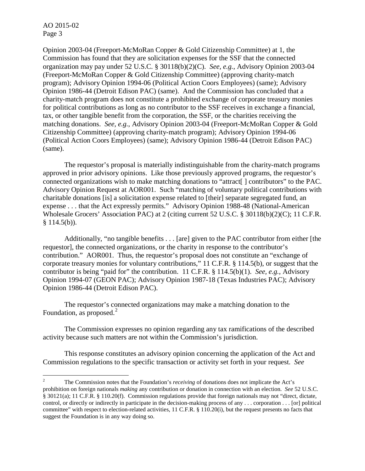AO 2015-02 Page 3

Opinion 2003-04 (Freeport-McMoRan Copper & Gold Citizenship Committee) at 1, the Commission has found that they are solicitation expenses for the SSF that the connected organization may pay under 52 U.S.C. § 30118(b)(2)(C). *See, e.g.*, Advisory Opinion 2003-04 (Freeport-McMoRan Copper & Gold Citizenship Committee) (approving charity-match program); Advisory Opinion 1994-06 (Political Action Coors Employees) (same); Advisory Opinion 1986-44 (Detroit Edison PAC) (same). And the Commission has concluded that a charity-match program does not constitute a prohibited exchange of corporate treasury monies for political contributions as long as no contributor to the SSF receives in exchange a financial, tax, or other tangible benefit from the corporation, the SSF, or the charities receiving the matching donations. *See, e.g.*, Advisory Opinion 2003-04 (Freeport-McMoRan Copper & Gold Citizenship Committee) (approving charity-match program); Advisory Opinion 1994-06 (Political Action Coors Employees) (same); Advisory Opinion 1986-44 (Detroit Edison PAC) (same).

The requestor's proposal is materially indistinguishable from the charity-match programs approved in prior advisory opinions. Like those previously approved programs, the requestor's connected organizations wish to make matching donations to "attract[ ] contributors" to the PAC. Advisory Opinion Request at AOR001. Such "matching of voluntary political contributions with charitable donations [is] a solicitation expense related to [their] separate segregated fund, an expense . . . that the Act expressly permits." Advisory Opinion 1988-48 (National-American Wholesale Grocers' Association PAC) at 2 (citing current 52 U.S.C. § 30118(b)(2)(C); 11 C.F.R.  $§ 114.5(b)$ .

Additionally, "no tangible benefits . . . [are] given to the PAC contributor from either [the requestor], the connected organizations, or the charity in response to the contributor's contribution." AOR001. Thus, the requestor's proposal does not constitute an "exchange of corporate treasury monies for voluntary contributions," 11 C.F.R. § 114.5(b), or suggest that the contributor is being "paid for" the contribution. 11 C.F.R. § 114.5(b)(1). *See, e.g.*, Advisory Opinion 1994-07 (GEON PAC); Advisory Opinion 1987-18 (Texas Industries PAC); Advisory Opinion 1986-44 (Detroit Edison PAC).

The requestor's connected organizations may make a matching donation to the Foundation, as proposed.<sup>[2](#page-2-0)</sup>

The Commission expresses no opinion regarding any tax ramifications of the described activity because such matters are not within the Commission's jurisdiction.

This response constitutes an advisory opinion concerning the application of the Act and Commission regulations to the specific transaction or activity set forth in your request. *See*

<span id="page-2-0"></span> <sup>2</sup> The Commission notes that the Foundation's *receiving* of donations does not implicate the Act's prohibition on foreign nationals *making* any contribution or donation in connection with an election. *See* 52 U.S.C. § 30121(a); 11 C.F.R. § 110.20(f). Commission regulations provide that foreign nationals may not "direct, dictate, control, or directly or indirectly in participate in the decision-making process of any . . . corporation . . . [or] political committee" with respect to election-related activities, 11 C.F.R. § 110.20(i), but the request presents no facts that suggest the Foundation is in any way doing so.